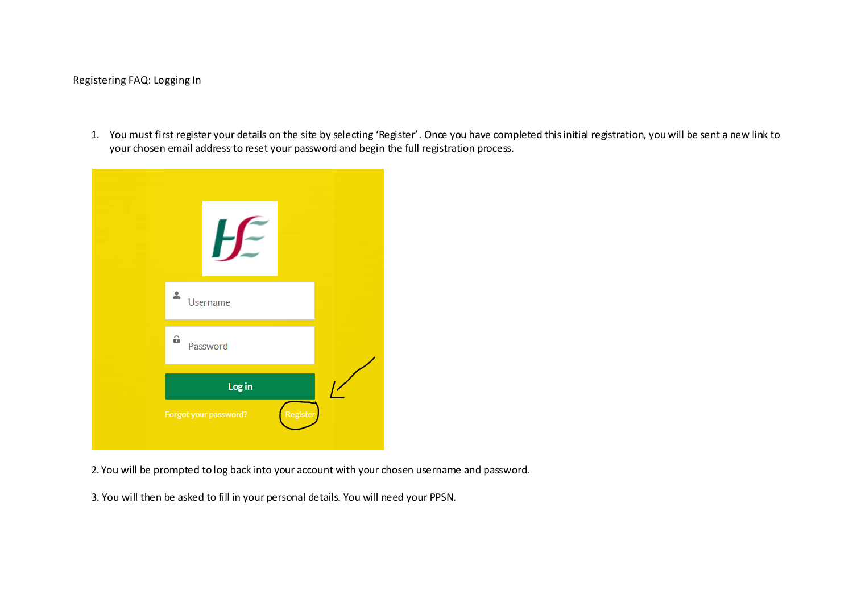## Registering FAQ: Logging In

1. You must first register your details on the site by selecting 'Register'. Once you have completed this initial registration, you will be sent a new link to your chosen email address to reset your password and begin the full registration process.



2. You will be prompted to log back into your account with your chosen username and password.

3. You will then be asked to fill in your personal details. You will need your PPSN.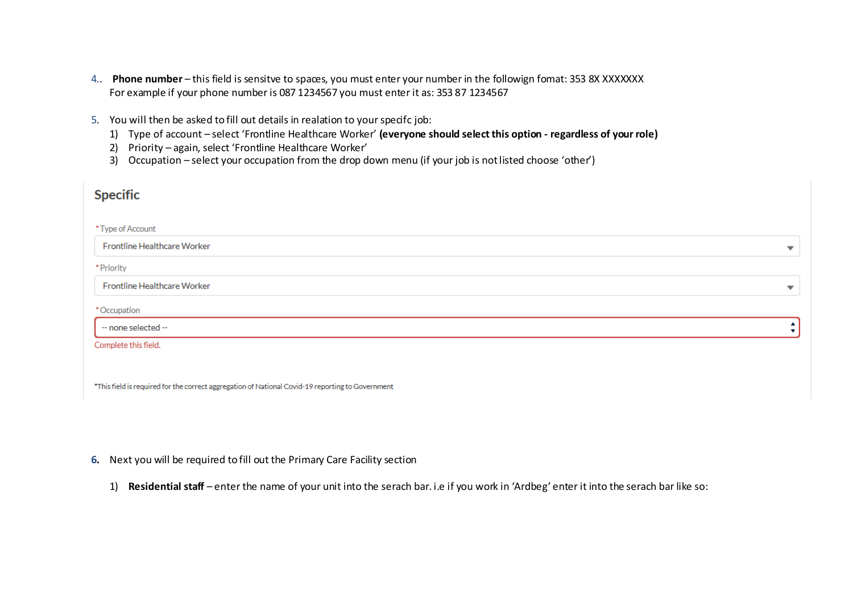- 4.. **Phone number** this field is sensitve to spaces, you must enter your number in the followign fomat: 353 8X XXXXXXX For example if your phone number is 087 1234567 you must enter it as: 353 87 1234567
- 5. You will then be asked to fill out details in realation to your specifc job:
	- 1) Type of account select 'Frontline Healthcare Worker' **(everyone should select this option - regardless of your role)**
	- 2) Priority again, select 'Frontline Healthcare Worker'
	- 3) Occupation select your occupation from the drop down menu (if your job is not listed choose 'other')

| <b>Specific</b>             |                          |
|-----------------------------|--------------------------|
| *Type of Account            |                          |
| Frontline Healthcare Worker | $\overline{\phantom{a}}$ |
| * Priority                  |                          |
| Frontline Healthcare Worker | $\overline{\phantom{a}}$ |
| *Occupation                 |                          |
| -- none selected --         | $\blacktriangle$         |
| Complete this field.        |                          |
|                             |                          |

\*This field is required for the correct aggregation of National Covid-19 reporting to Government

## **6.** Next you will be required to fill out the Primary Care Facility section

1) **Residential staff** – enter the name of your unit into the serach bar. i.e if you work in 'Ardbeg' enter it into the serach bar like so: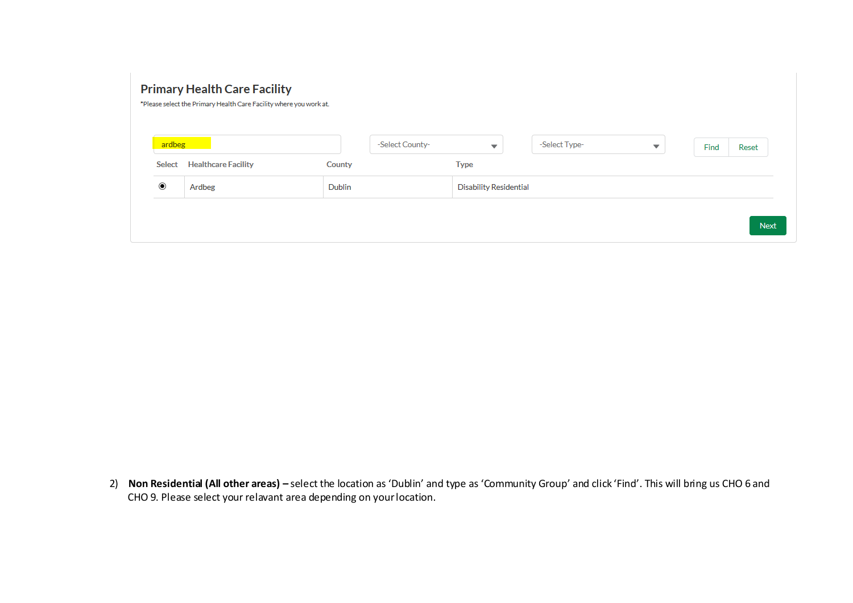## **Primary Health Care Facility**

\*Please select the Primary Health Care Facility where you work at.

| ardbeg            |                            |               | -Select County-<br>$\overline{\phantom{a}}$ | -Select Type- | $\overline{\phantom{a}}$ | Find | Reset |
|-------------------|----------------------------|---------------|---------------------------------------------|---------------|--------------------------|------|-------|
| <b>Select</b>     | <b>Healthcare Facility</b> | County        | <b>Type</b>                                 |               |                          |      |       |
| $_{\circledcirc}$ | Ardbeg                     | <b>Dublin</b> | <b>Disability Residential</b>               |               |                          |      |       |

2) **Non Residential (All other areas) –** select the location as 'Dublin' and type as 'Community Group' and click 'Find'. This will bring us CHO 6 and CHO 9. Please select your relavant area depending on your location.